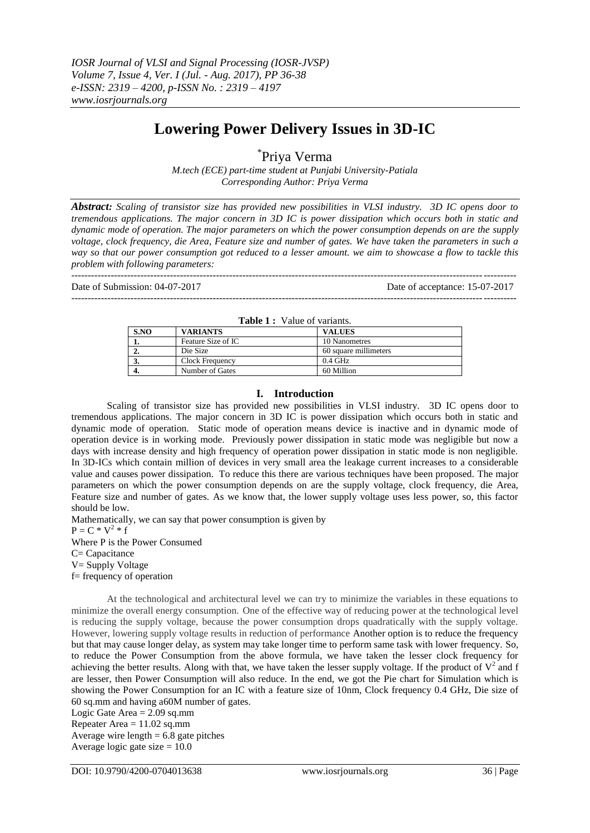# **Lowering Power Delivery Issues in 3D-IC**

\* Priya Verma

*M.tech (ECE) part-time student at Punjabi University-Patiala Corresponding Author: Priya Verma*

*Abstract: Scaling of transistor size has provided new possibilities in VLSI industry. 3D IC opens door to tremendous applications. The major concern in 3D IC is power dissipation which occurs both in static and dynamic mode of operation. The major parameters on which the power consumption depends on are the supply voltage, clock frequency, die Area, Feature size and number of gates. We have taken the parameters in such a way so that our power consumption got reduced to a lesser amount. we aim to showcase a flow to tackle this problem with following parameters:*

Date of Submission: 04-07-2017 Date of acceptance: 15-07-2017

**Table 1 :** Value of variants.

---------------------------------------------------------------------------------------------------------------------------------------

---------------------------------------------------------------------------------------------------------------------------------------

| $\mathbf{1}$ and $\mathbf{1}$ . Then $\mathbf{0}$ is the set of $\mathbf{1}$ |                    |                       |  |  |
|------------------------------------------------------------------------------|--------------------|-----------------------|--|--|
| S.NO                                                                         | <b>VARIANTS</b>    | <b>VALUES</b>         |  |  |
|                                                                              | Feature Size of IC | 10 Nanometres         |  |  |
| ۷.                                                                           | Die Size           | 60 square millimeters |  |  |
|                                                                              | Clock Frequency    | $0.4$ GHz             |  |  |
| -۰.                                                                          | Number of Gates    | 60 Million            |  |  |

#### **I. Introduction**

Scaling of transistor size has provided new possibilities in VLSI industry. 3D IC opens door to tremendous applications. The major concern in 3D IC is power dissipation which occurs both in static and dynamic mode of operation. Static mode of operation means device is inactive and in dynamic mode of operation device is in working mode. Previously power dissipation in static mode was negligible but now a days with increase density and high frequency of operation power dissipation in static mode is non negligible. In 3D-ICs which contain million of devices in very small area the leakage current increases to a considerable value and causes power dissipation. To reduce this there are various techniques have been proposed. The major parameters on which the power consumption depends on are the supply voltage, clock frequency, die Area, Feature size and number of gates. As we know that, the lower supply voltage uses less power, so, this factor should be low.

Mathematically, we can say that power consumption is given by  $P = C * V^2 * f$ Where P is the Power Consumed C= Capacitance V= Supply Voltage f= frequency of operation

At the technological and architectural level we can try to minimize the variables in these equations to minimize the overall energy consumption. One of the effective way of reducing power at the technological level is reducing the supply voltage, because the power consumption drops quadratically with the supply voltage. However, lowering supply voltage results in reduction of performance Another option is to reduce the frequency but that may cause longer delay, as system may take longer time to perform same task with lower frequency. So, to reduce the Power Consumption from the above formula, we have taken the lesser clock frequency for achieving the better results. Along with that, we have taken the lesser supply voltage. If the product of  $V^2$  and f are lesser, then Power Consumption will also reduce. In the end, we got the Pie chart for Simulation which is showing the Power Consumption for an IC with a feature size of 10nm, Clock frequency 0.4 GHz, Die size of 60 sq.mm and having a60M number of gates.

Logic Gate Area  $= 2.09$  sq.mm Repeater Area  $= 11.02$  sq.mm Average wire length  $= 6.8$  gate pitches Average logic gate size  $= 10.0$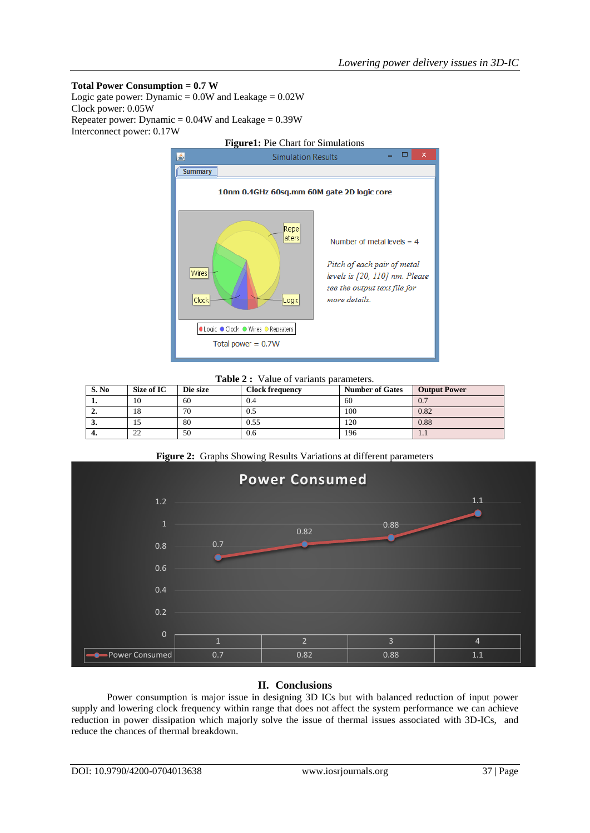## **Total Power Consumption = 0.7 W**

Logic gate power: Dynamic =  $0.0W$  and Leakage =  $0.02W$ Clock power: 0.05W Repeater power: Dynamic =  $0.04W$  and Leakage =  $0.39W$ Interconnect power: 0.17W



**Table 2 :** Value of variants parameters.

| S. No | Size of IC  | Die size | <b>Clock frequency</b> | <b>Number of Gates</b> | <b>Output Power</b> |
|-------|-------------|----------|------------------------|------------------------|---------------------|
| . .   | 10          | 60       | 0.4                    | 60                     | 0.7                 |
| ∸.    | 18          | 70       | U.J                    | 100                    | 0.82                |
| ◡     |             | 80       | 0.55                   | 120                    | 0.88                |
| -۰.   | $\cap$<br>∸ | 50       | 0.6                    | 196                    | 1.1                 |





## **II. Conclusions**

Power consumption is major issue in designing 3D ICs but with balanced reduction of input power supply and lowering clock frequency within range that does not affect the system performance we can achieve reduction in power dissipation which majorly solve the issue of thermal issues associated with 3D-ICs, and reduce the chances of thermal breakdown.